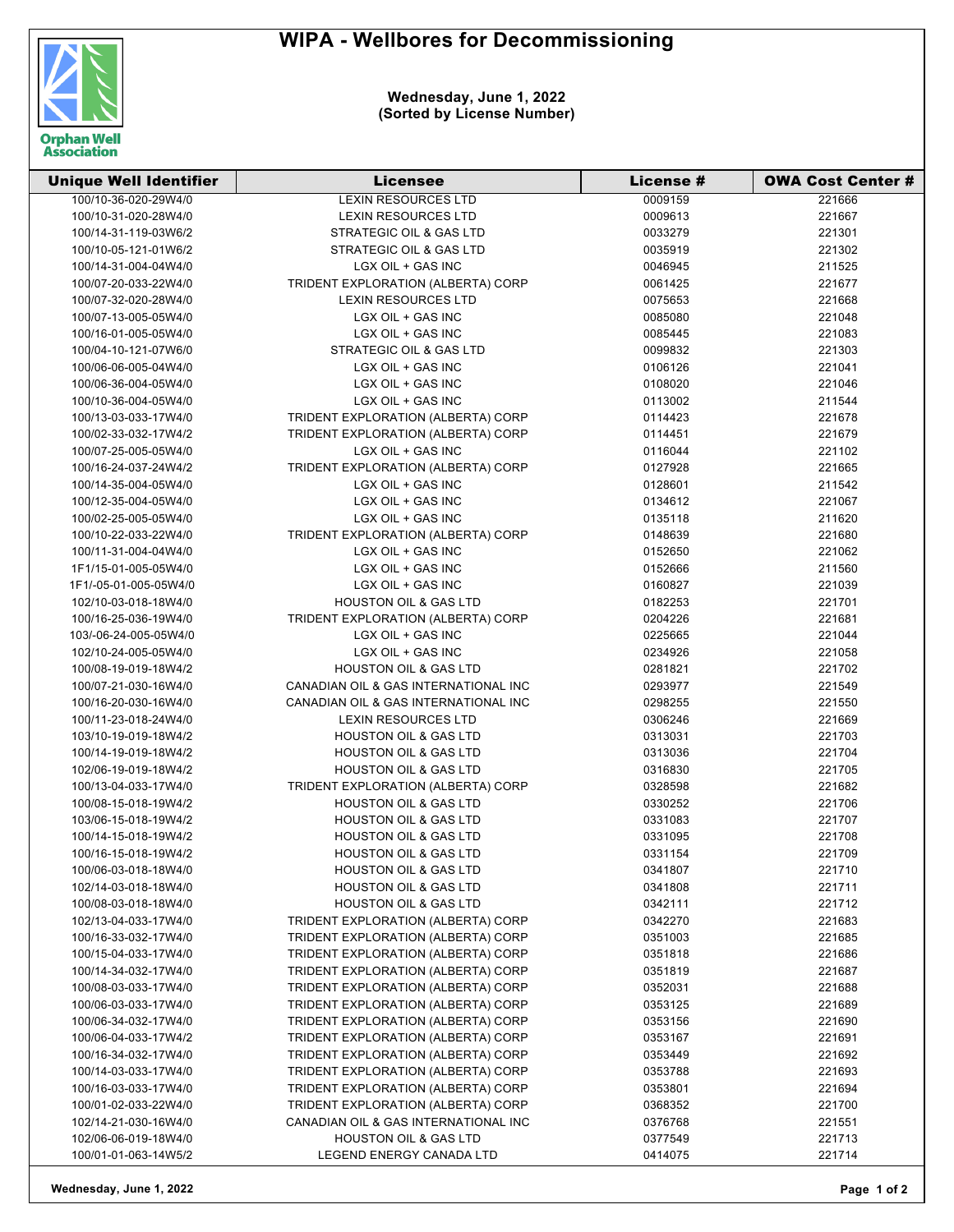## **WIPA - Wellbores for Decommissioning**



## **Wednesday, June 1, 2022 (Sorted by License Number)**

| <b>Unique Well Identifier</b> | <b>Licensee</b>                      | License # | <b>OWA Cost Center #</b> |
|-------------------------------|--------------------------------------|-----------|--------------------------|
| 100/10-36-020-29W4/0          | <b>LEXIN RESOURCES LTD</b>           | 0009159   | 221666                   |
| 100/10-31-020-28W4/0          | <b>LEXIN RESOURCES LTD</b>           | 0009613   | 221667                   |
| 100/14-31-119-03W6/2          | STRATEGIC OIL & GAS LTD              | 0033279   | 221301                   |
| 100/10-05-121-01W6/2          | STRATEGIC OIL & GAS LTD              | 0035919   | 221302                   |
| 100/14-31-004-04W4/0          | LGX OIL + GAS INC                    | 0046945   | 211525                   |
| 100/07-20-033-22W4/0          | TRIDENT EXPLORATION (ALBERTA) CORP   | 0061425   | 221677                   |
| 100/07-32-020-28W4/0          | <b>LEXIN RESOURCES LTD</b>           | 0075653   | 221668                   |
| 100/07-13-005-05W4/0          | LGX OIL + GAS INC                    | 0085080   | 221048                   |
| 100/16-01-005-05W4/0          | LGX OIL + GAS INC                    | 0085445   | 221083                   |
| 100/04-10-121-07W6/0          | <b>STRATEGIC OIL &amp; GAS LTD</b>   | 0099832   | 221303                   |
| 100/06-06-005-04W4/0          | LGX OIL + GAS INC                    | 0106126   | 221041                   |
| 100/06-36-004-05W4/0          | LGX OIL + GAS INC                    | 0108020   | 221046                   |
| 100/10-36-004-05W4/0          | LGX OIL + GAS INC                    | 0113002   | 211544                   |
| 100/13-03-033-17W4/0          | TRIDENT EXPLORATION (ALBERTA) CORP   | 0114423   | 221678                   |
| 100/02-33-032-17W4/2          | TRIDENT EXPLORATION (ALBERTA) CORP   | 0114451   | 221679                   |
| 100/07-25-005-05W4/0          | LGX OIL + GAS INC                    | 0116044   | 221102                   |
| 100/16-24-037-24W4/2          | TRIDENT EXPLORATION (ALBERTA) CORP   | 0127928   | 221665                   |
| 100/14-35-004-05W4/0          | LGX OIL + GAS INC                    | 0128601   | 211542                   |
| 100/12-35-004-05W4/0          | LGX OIL + GAS INC                    | 0134612   | 221067                   |
| 100/02-25-005-05W4/0          | LGX OIL + GAS INC                    | 0135118   | 211620                   |
| 100/10-22-033-22W4/0          | TRIDENT EXPLORATION (ALBERTA) CORP   | 0148639   | 221680                   |
| 100/11-31-004-04W4/0          | LGX OIL + GAS INC                    | 0152650   | 221062                   |
| 1F1/15-01-005-05W4/0          | LGX OIL + GAS INC                    | 0152666   | 211560                   |
| 1F1/-05-01-005-05W4/0         | LGX OIL + GAS INC                    | 0160827   | 221039                   |
| 102/10-03-018-18W4/0          | <b>HOUSTON OIL &amp; GAS LTD</b>     | 0182253   | 221701                   |
| 100/16-25-036-19W4/0          | TRIDENT EXPLORATION (ALBERTA) CORP   | 0204226   | 221681                   |
| 103/-06-24-005-05W4/0         | LGX OIL + GAS INC                    | 0225665   | 221044                   |
| 102/10-24-005-05W4/0          | LGX OIL + GAS INC                    | 0234926   | 221058                   |
| 100/08-19-019-18W4/2          | <b>HOUSTON OIL &amp; GAS LTD</b>     | 0281821   | 221702                   |
| 100/07-21-030-16W4/0          | CANADIAN OIL & GAS INTERNATIONAL INC | 0293977   | 221549                   |
| 100/16-20-030-16W4/0          | CANADIAN OIL & GAS INTERNATIONAL INC | 0298255   | 221550                   |
| 100/11-23-018-24W4/0          | <b>LEXIN RESOURCES LTD</b>           | 0306246   | 221669                   |
| 103/10-19-019-18W4/2          | <b>HOUSTON OIL &amp; GAS LTD</b>     | 0313031   | 221703                   |
| 100/14-19-019-18W4/2          | <b>HOUSTON OIL &amp; GAS LTD</b>     | 0313036   | 221704                   |
| 102/06-19-019-18W4/2          | <b>HOUSTON OIL &amp; GAS LTD</b>     | 0316830   | 221705                   |
| 100/13-04-033-17W4/0          | TRIDENT EXPLORATION (ALBERTA) CORP   | 0328598   | 221682                   |
| 100/08-15-018-19W4/2          | <b>HOUSTON OIL &amp; GAS LTD</b>     | 0330252   | 221706                   |
| 103/06-15-018-19W4/2          | <b>HOUSTON OIL &amp; GAS LTD</b>     | 0331083   | 221707                   |
| 100/14-15-018-19W4/2          | <b>HOUSTON OIL &amp; GAS LTD</b>     | 0331095   | 221708                   |
| 100/16-15-018-19W4/2          | <b>HOUSTON OIL &amp; GAS LTD</b>     | 0331154   | 221709                   |
| 100/06-03-018-18W4/0          | <b>HOUSTON OIL &amp; GAS LTD</b>     | 0341807   | 221710                   |
| 102/14-03-018-18W4/0          | <b>HOUSTON OIL &amp; GAS LTD</b>     | 0341808   | 221711                   |
| 100/08-03-018-18W4/0          | <b>HOUSTON OIL &amp; GAS LTD</b>     | 0342111   | 221712                   |
| 102/13-04-033-17W4/0          | TRIDENT EXPLORATION (ALBERTA) CORP   | 0342270   | 221683                   |
| 100/16-33-032-17W4/0          | TRIDENT EXPLORATION (ALBERTA) CORP   | 0351003   | 221685                   |
| 100/15-04-033-17W4/0          | TRIDENT EXPLORATION (ALBERTA) CORP   | 0351818   | 221686                   |
| 100/14-34-032-17W4/0          | TRIDENT EXPLORATION (ALBERTA) CORP   | 0351819   | 221687                   |
| 100/08-03-033-17W4/0          | TRIDENT EXPLORATION (ALBERTA) CORP   | 0352031   | 221688                   |
| 100/06-03-033-17W4/0          | TRIDENT EXPLORATION (ALBERTA) CORP   | 0353125   | 221689                   |
| 100/06-34-032-17W4/0          | TRIDENT EXPLORATION (ALBERTA) CORP   | 0353156   | 221690                   |
| 100/06-04-033-17W4/2          | TRIDENT EXPLORATION (ALBERTA) CORP   | 0353167   | 221691                   |
| 100/16-34-032-17W4/0          | TRIDENT EXPLORATION (ALBERTA) CORP   | 0353449   | 221692                   |
| 100/14-03-033-17W4/0          | TRIDENT EXPLORATION (ALBERTA) CORP   | 0353788   | 221693                   |
| 100/16-03-033-17W4/0          | TRIDENT EXPLORATION (ALBERTA) CORP   | 0353801   | 221694                   |
| 100/01-02-033-22W4/0          | TRIDENT EXPLORATION (ALBERTA) CORP   | 0368352   | 221700                   |
| 102/14-21-030-16W4/0          | CANADIAN OIL & GAS INTERNATIONAL INC | 0376768   | 221551                   |
| 102/06-06-019-18W4/0          | <b>HOUSTON OIL &amp; GAS LTD</b>     | 0377549   | 221713                   |
| 100/01-01-063-14W5/2          | LEGEND ENERGY CANADA LTD             | 0414075   | 221714                   |
|                               |                                      |           |                          |